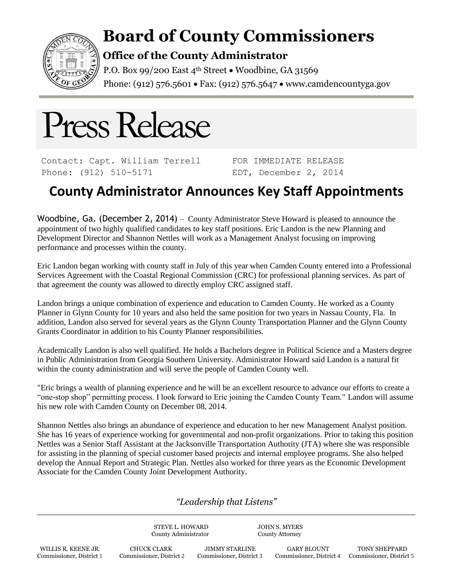

## **Board of County Commissioners**

## **Office of the County Administrator**

P.O. Box 99/200 East 4<sup>th</sup> Street • Woodbine, GA 31569 Phone: (912) 576.5601 • Fax: (912) 576.5647 • www.camdencountyga.gov

# Press Release

Contact: Capt. William Terrell Phone: (912) 510-5171

FOR IMMEDIATE RELEASE EDT, December 2, 2014

## **County Administrator Announces Key Staff Appointments**

Woodbine, Ga. (December 2, 2014) – County Administrator Steve Howard is pleased to announce the appointment of two highly qualified candidates to key staff positions. Eric Landon is the new Planning and Development Director and Shannon Nettles will work as a Management Analyst focusing on improving performance and processes within the county.

Eric Landon began working with county staff in July of this year when Camden County entered into a Professional Services Agreement with the Coastal Regional Commission (CRC) for professional planning services. As part of that agreement the county was allowed to directly employ CRC assigned staff.

Landon brings a unique combination of experience and education to Camden County. He worked as a County Planner in Glynn County for 10 years and also held the same position for two years in Nassau County, Fla. In addition, Landon also served for several years as the Glynn County Transportation Planner and the Glynn County Grants Coordinator in addition to his County Planner responsibilities.

Academically Landon is also well qualified. He holds a Bachelors degree in Political Science and a Masters degree in Public Administration from Georgia Southern University. Administrator Howard said Landon is a natural fit within the county administration and will serve the people of Camden County well.

"Eric brings a wealth of planning experience and he will be an excellent resource to advance our efforts to create a "one-stop shop" permitting process. I look forward to Eric joining the Camden County Team." Landon will assume his new role with Camden County on December 08, 2014.

Shannon Nettles also brings an abundance of experience and education to her new Management Analyst position. She has 16 years of experience working for governmental and non-profit organizations. Prior to taking this position Nettles was a Senior Staff Assistant at the Jacksonville Transportation Authority (JTA) where she was responsible for assisting in the planning of special customer based projects and internal employee programs. She also helped develop the Annual Report and Strategic Plan. Nettles also worked for three years as the Economic Development Associate for the Camden County Joint Development Authority.

### *"Leadership that Listens"*

STEVE L. HOWARD JOHN S. MYERS County Administrator County Attorney

WILLIS R. KEENE JR. CHUCK CLARK JIMMY STARLINE GARY BLOUNT TONY SHEPPARD